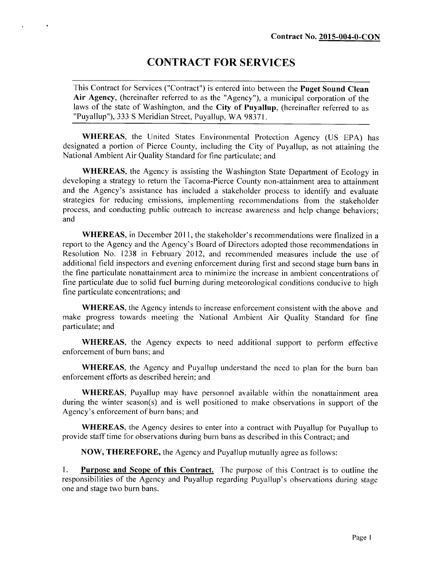# **CONTRACT FOR SERVICES**

 $\ddot{\phantom{1}}$ 

This Contract for Services ("Contract") is entered into between the **Puget Sound Clean Air Agency,** (hereinafter referred to as the "Agency"), a municipal corporation of the laws of the state of Washington, and the **City of Puyallup,** (hereinafter referred to as "Puyallup"), 333 S Meridian Street, Puyallup, WA 98371.

**WHEREAS,** the United States Environmental Protection Agency (US EPA) has designated a portion of Pierce County, including the City of Puyallup, as not attaining the National Ambient Air Quality Standard for fine particulate; and

**WHEREAS,** the Agency is assisting the Washington State Department of Ecology in developing a strategy to return the Tacoma-Pierce County non-attainment area to attainment and the Agency's assistance has included a stakeholder process to identify and evaluate strategies for reducing emissions, implementing recommendations from the stakeholder process, and conducting public outreach to increase awareness and help change behaviors; and

**WHEREAS,** in December 2011, the stakeholder's recommendations were finalized in a report to the Agency and the Agency's Board of Directors adopted those recommendations in Resolution No. 1238 in February 2012, and recommended measures include the use of additional field inspectors and evening enforcement during first and second stage burn bans in the fine particulate nonattainment area to minimize the increase in ambient concentrations of fine particulate due to solid fuel burning during meteorological conditions conducive to high fine particulate concentrations; and

**WHEREAS,** the Agency intends to increase enforcement consistent with the above and make progress towards meeting the National Ambient Air Quality Standard for fine particulate; and

**WHEREAS,** the Agency expects to need additional support to perform effective enforcement of burn bans; and

**WHEREAS,** the Agency and Puyallup understand the need to plan for the burn ban enforcement efforts as described herein; and

**WHEREAS,** Puyallup may have personnel available within the nonattainment area during the winter season(s) and is well positioned to make observations in support of the Agency's enforcement of burn bans; and

**WHEREAS,** the Agency desires to enter into a contract with Puyallup for Puyallup to provide staff time for observations during burn bans as described in this Contract; and

**NOW, THEREFORE,** the Agency and Puyallup mutually agree as follows:

**1. Purpose and Scope of this Contract.** The purpose of this Contract is to outline the responsibilities of the Agency and Puyallup regarding Puyallup's observations during stage one and stage two burn bans.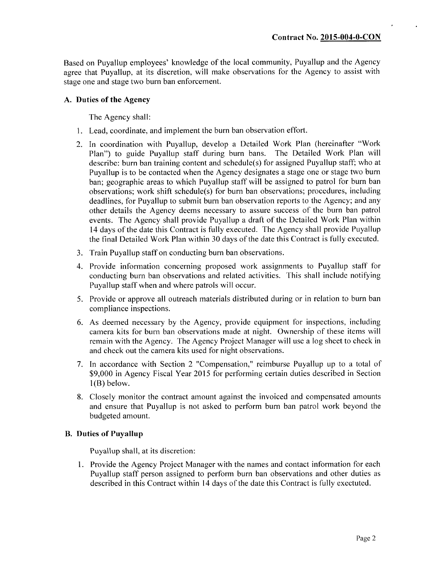Based on Puyallup employees' knowledge of the local community, Puyallup and the Agency agree that Puyallup, at its discretion, will make observations for the Agency to assist with stage one and stage two burn ban enforcement.

#### **A. Duties of the Agency**

The Agency shall:

- 1. Lead, coordinate, and implement the burn ban observation effort.
- 2. In coordination with Puyallup, develop a Detailed Work Plan (hereinafter "Work Plan") to guide Puyallup staff during burn bans. The Detailed Work Plan will describe: burn ban training content and schedule(s) for assigned Puyallup staff; who at Puyallup is to be contacted when the Agency designates a stage one or stage two burn ban; geographic areas to which Puyallup staff will be assigned to patrol for burn ban observations; work shift schedule(s) for burn ban observations; procedures, including deadlines, for Puyallup to submit burn ban observation reports to the Agency; and any other details the Agency deems necessary to assure success of the burn ban patrol events. The Agency shall provide Puyallup a draft of the Detailed Work Plan within 14 days of the date this Contract is fully executed. The Agency shall provide Puyallup the final Detailed Work Plan within 30 days of the date this Contract is fully executed.
- 3. Train Puyallup staff on conducting burn ban observations.
- 4. Provide information concerning proposed work assignments to Puyallup staff for conducting burn ban observations and related activities. This shall include notifying Puyallup staff when and where patrols will occur.
- 5. Provide or approve all outreach materials distributed during or in relation to burn ban compliance inspections.
- 6. As deemed necessary by the Agency, provide equipment for inspections, including camera kits for burn ban observations made at night. Ownership of these items will remain with the Agency. The Agency Project Manager will use a log sheet to check in and check out the camera kits used for night observations.
- 7. In accordance with Section 2 "Compensation," reimburse Puyallup up to a total of \$9,000 in Agency Fiscal Year 2015 for performing certain duties described in Section 1(B) below.
- 8. Closely monitor the contract amount against the invoiced and compensated amounts and ensure that Puyallup is not asked to perform burn ban patrol work beyond the budgeted amount.

### **B. Duties of Puyallup**

Puyallup shall, at its discretion:

1. Provide the Agency Project Manager with the names and contact information for each Puyallup staff person assigned to perform burn ban observations and other duties as described in this Contract within 14 days of the date this Contract is fully exectuted.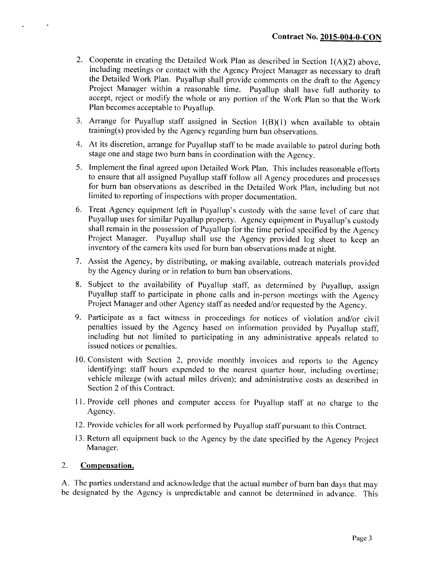- 2. Cooperate in creating the Detailed Work Plan as described in Section 1(A)(2) above, including meetings or contact with the Agency Project Manager as necessary to draft the Detailed Work Plan. Puyallup shall provide comments on the draft to the Agency Project Manager within a reasonable time. Puyallup shall have full authority to accept, reject or modify the whole or any portion of the Work Plan so that the Work Plan becomes acceptable to Puyallup.
- 3. Arrange for Puyallup staff assigned in Section 1(B)(1) when available to obtain training(s) provided by the Agency regarding burn ban observations.
- 4. At its discretion, arrange for Puyallup staff to be made available to patrol during both stage one and stage two burn bans in coordination with the Agency.
- 5. Implement the final agreed upon Detailed Work Plan. This includes reasonable efforts to ensure that all assigned Puyallup staff follow all Agency procedures and processes for burn ban observations as described in the Detailed Work Plan, including but not limited to reporting of inspections with proper documentation.
- 6. Treat Agency equipment left in Puyallup's custody with the same level of care that Puyallup uses for similar Puyallup property. Agency equipment in Puyallup's custody shall remain in the possession of Puyallup for the time period specified by the Agency Project Manager. Puyallup shall use the Agency provided log sheet to keep an inventory of the camera kits used for burn ban observations made at night.
- 7. Assist the Agency, by distributing, or making available, outreach materials provided by the Agency during or in relation to burn ban observations.
- 8. Subject to the availability of Puyallup staff, as determined by Puyallup, assign Puyallup staff to participate in phone calls and in-person meetings with the Agency Project Manager and other Agency staff as needed and/or requested by the Agency.
- 9. Participate as a fact witness in proceedings for notices of violation and/or civil penalties issued by the Agency based on information provided by Puyallup staff, including but not limited to participating in any administrative appeals related to issued notices or penalties.
- 10. Consistent with Section 2, provide monthly invoices and reports to the Agency identifying: staff hours expended to the nearest quarter hour, including overtime; vehicle mileage (with actual miles driven); and administrative costs as described in Section 2 of this Contract.
- 11. Provide cell phones and computer access for Puyallup staff at no charge to the Agency.
- 12. Provide vehicles for all work performed by Puyallup staff pursuant to this Contract.
- 13. Return all equipment back to the Agency by the date specified by the Agency Project Manager.

#### **2. Compensation.**

 $\cdot$ 

 $\ddot{\phantom{0}}$ 

A. The parties understand and acknowledge that the actual number of burn ban days that may be designated by the Agency is unpredictable and cannot be determined in advance. This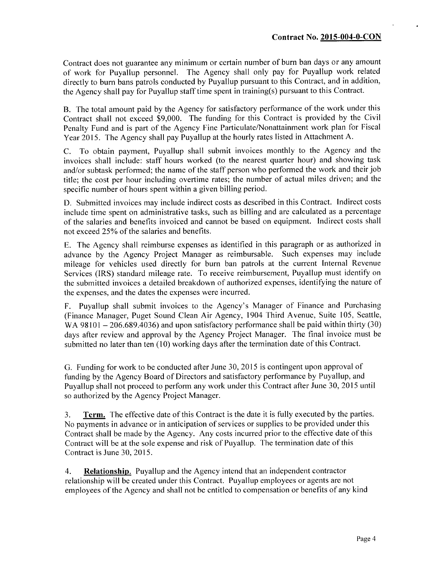Contract does not guarantee any minimum or certain number of burn ban days or any amount of work for Puyallup personnel. The Agency shall only pay for Puyallup work related directly to burn bans patrols conducted by Puyallup pursuant to this Contract, and in addition, the Agency shall pay for Puyallup staff time spent in training(s) pursuant to this Contract.

B. The total amount paid by the Agency for satisfactory performance of the work under this Contract shall not exceed \$9,000. The funding for this Contract is provided by the Civil Penalty Fund and is part of the Agency Fine Particulate/Nonattainment work plan for Fiscal Year 2015. The Agency shall pay Puyallup at the hourly rates listed in Attachment A.

C. To obtain payment, Puyallup shall submit invoices monthly to the Agency and the invoices shall include: staff hours worked (to the nearest quarter hour) and showing task and/or subtask performed; the name of the staff person who performed the work and their job title; the cost per hour including overtime rates; the number of actual miles driven; and the specific number of hours spent within a given billing period.

D. Submitted invoices may include indirect costs as described in this Contract. Indirect costs include time spent on administrative tasks, such as billing and are calculated as a percentage of the salaries and benefits invoiced and cannot be based on equipment. Indirect costs shall not exceed 25% of the salaries and benefits.

E. The Agency shall reimburse expenses as identified in this paragraph or as authorized in advance by the Agency Project Manager as reimbursable. Such expenses may include mileage for vehicles used directly for burn ban patrols at the current Internal Revenue Services (IRS) standard mileage rate. To receive reimbursement, Puyallup must identify on the submitted invoices a detailed breakdown of authorized expenses, identifying the nature of the expenses, and the dates the expenses were incurred.

F. Puyallup shall submit invoices to the Agency's Manager of Finance and Purchasing (Finance Manager, Puget Sound Clean Air Agency, 1904 Third Avenue, Suite 105, Seattle, WA 98101  $-$  206.689.4036) and upon satisfactory performance shall be paid within thirty (30) days after review and approval by the Agency Project Manager. The final invoice must be submitted no later than ten (10) working days after the termination date of this Contract.

G. Funding for work to be conducted after June 30, 2015 is contingent upon approval of funding by the Agency Board of Directors and satisfactory performance by Puyallup, and Puyallup shall not proceed to perform any work under this Contract after June 30, 2015 until so authorized by the Agency Project Manager.

**3. Term.** The effective date of this Contract is the date it is fully executed by the parties. No payments in advance or in anticipation of services or supplies to be provided under this Contract shall be made by the Agency. Any costs incurred prior to the effective date of this Contract will be at the sole expense and risk of Puyallup. The termination date of this Contract is June 30, 2015.

**4. Relationship.** Puyallup and the Agency intend that an independent contractor relationship will be created under this Contract. Puyallup employees or agents are not employees of the Agency and shall not be entitled to compensation or benefits of any kind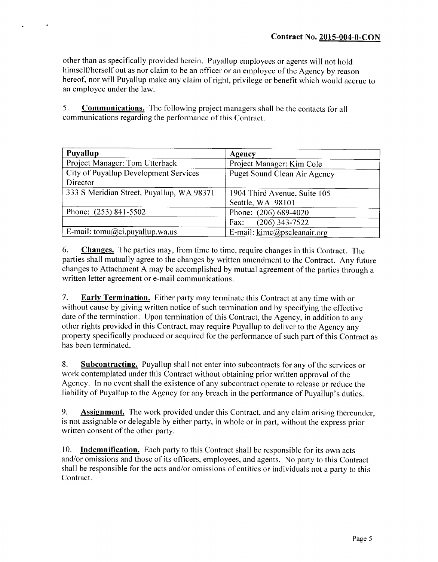other than as specifically provided herein. Puyallup employees or agents will not hold himself/herself out as nor claim to be an officer or an employee of the Agency by reason hereof, nor will Puyallup make any claim of right, privilege or benefit which would accrue to an employee under the law.

**5. Communications.** The following project managers shall be the contacts for all communications regarding the performance of this Contract.

 $\bullet$ 

| Puyallup                                  | <b>Agency</b>                |  |  |  |  |
|-------------------------------------------|------------------------------|--|--|--|--|
| Project Manager: Tom Utterback            | Project Manager: Kim Cole    |  |  |  |  |
| City of Puyallup Development Services     | Puget Sound Clean Air Agency |  |  |  |  |
| Director                                  |                              |  |  |  |  |
| 333 S Meridian Street, Puyallup, WA 98371 | 1904 Third Avenue, Suite 105 |  |  |  |  |
|                                           | Seattle, WA 98101            |  |  |  |  |
| Phone: (253) 841-5502                     | Phone: (206) 689-4020        |  |  |  |  |
|                                           | $(206)$ 343-7522<br>Fax:     |  |  |  |  |
| E-mail: tomu@ci.puyallup.wa.us            | E-mail: kimc@pscleanair.org  |  |  |  |  |

**6. Changes.** The parties may, from time to time, require changes in this Contract. The parties shall mutually agree to the changes by written amendment to the Contract. Any future changes to Attachment A may be accomplished by mutual agreement of the parties through a written letter agreement or e-mail communications.

**7. Early Termination.** Either party may terminate this Contract at any time with or without cause by giving written notice of such termination and by specifying the effective date of the termination. Upon termination of this Contract, the Agency, in addition to any other rights provided in this Contract, may require Puyallup to deliver to the Agency any property specifically produced or acquired for the performance of such part of this Contract as has been terminated.

**8. Subcontracting.** Puyallup shall not enter into subcontracts for any of the services or work contemplated under this Contract without obtaining prior written approval of the Agency. In no event shall the existence of any subcontract operate to release or reduce the liability of Puyallup to the Agency for any breach in the performance of Puyallup's duties.

**9. Assignment.** The work provided under this Contract, and any claim arising thereunder, is not assignable or delegable by either party, in whole or in part, without the express prior written consent of the other party.

10. **Indemnification.** Each party to this Contract shall be responsible for its own acts and/or omissions and those of its officers, employees, and agents. No party to this Contract shall be responsible for the acts and/or omissions of entities or individuals not a party to this Contract.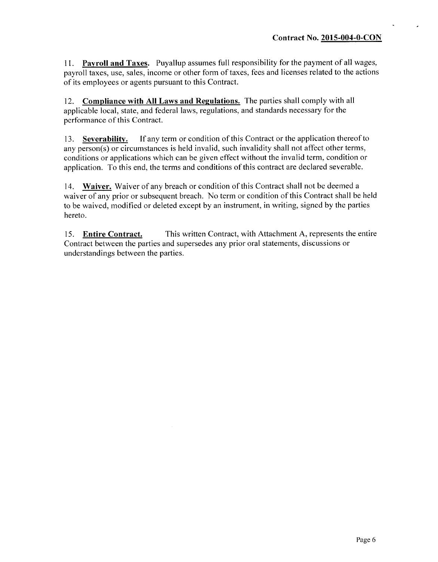**1 1 . Payroll and Taxes.** Puyallup assumes full responsibility for the payment of all wages, payroll taxes, use, sales, income or other form of taxes, fees and licenses related to the actions of its employees or agents pursuant to this Contract.

12. **Compliance with All Laws and Regulations.** The parties shall comply with all applicable local, state, and federal laws, regulations, and standards necessary for the performance of this Contract.

13. **Severability.** If any term or condition of this Contract or the application thereof to any person(s) or circumstances is held invalid, such invalidity shall not affect other terms, conditions or applications which can be given effect without the invalid term, condition or application. To this end, the terms and conditions of this contract are declared severable.

14. **Waiver.** Waiver of any breach or condition of this Contract shall not be deemed a waiver of any prior or subsequent breach. No term or condition of this Contract shall be held to be waived, modified or deleted except by an instrument, in writing, signed by the parties hereto.

15. **Entire Contract.** This written Contract, with Attachment A, represents the entire Contract between the parties and supersedes any prior oral statements, discussions or understandings between the parties.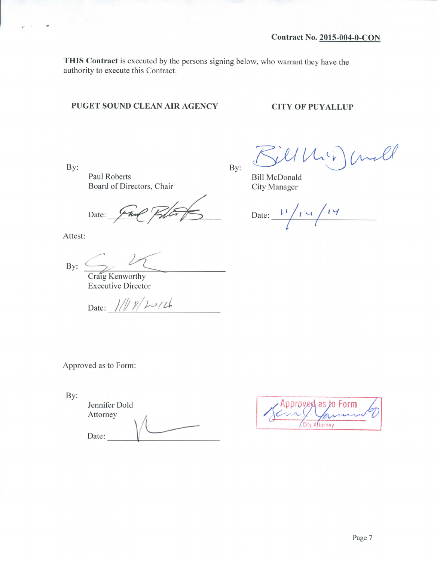**THIS Contract** is executed by the persons signing below, who warrant they have the authority to execute this Contract.

## **PUGET SOUND CLEAN AIR AGENCY CITY OF PUYALLUP**

**By:**

u.

 $\mu$ 

Paul Roberts Board of Directors, Chair

Date: **V~A^**

Attest:

**By:**

Craig Kenworthy Executive Director

Date:  $1/||p|$   $2/26$ 

Crull  $c<sub>k</sub>$ 

Bill McDonald City Manager

**By:**

Date:  $\frac{l^4}{l^4}$  $\overline{\sqrt{2}}$ 

Approved as to Form:

By:

Jennifer Dold Attorney Date:

| - Approved, as to Form |  |  |  |  |  |  |  |
|------------------------|--|--|--|--|--|--|--|
| Attorney               |  |  |  |  |  |  |  |